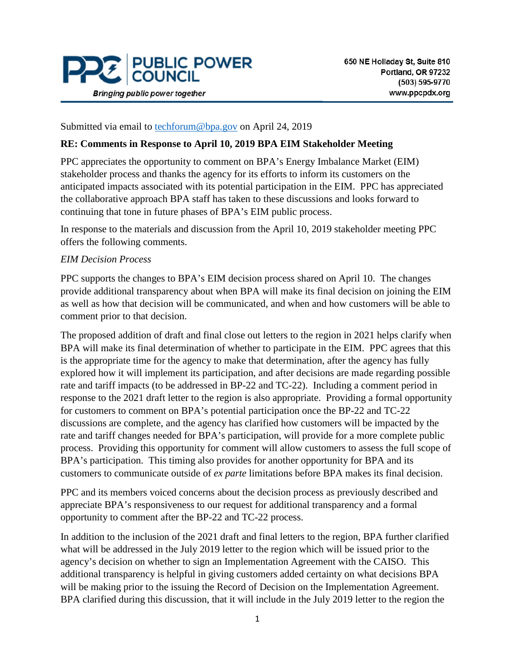

Submitted via email to [techforum@bpa.gov](mailto:techforum@bpa.gov) on April 24, 2019

## **RE: Comments in Response to April 10, 2019 BPA EIM Stakeholder Meeting**

PPC appreciates the opportunity to comment on BPA's Energy Imbalance Market (EIM) stakeholder process and thanks the agency for its efforts to inform its customers on the anticipated impacts associated with its potential participation in the EIM. PPC has appreciated the collaborative approach BPA staff has taken to these discussions and looks forward to continuing that tone in future phases of BPA's EIM public process.

In response to the materials and discussion from the April 10, 2019 stakeholder meeting PPC offers the following comments.

## *EIM Decision Process*

PPC supports the changes to BPA's EIM decision process shared on April 10. The changes provide additional transparency about when BPA will make its final decision on joining the EIM as well as how that decision will be communicated, and when and how customers will be able to comment prior to that decision.

The proposed addition of draft and final close out letters to the region in 2021 helps clarify when BPA will make its final determination of whether to participate in the EIM. PPC agrees that this is the appropriate time for the agency to make that determination, after the agency has fully explored how it will implement its participation, and after decisions are made regarding possible rate and tariff impacts (to be addressed in BP-22 and TC-22). Including a comment period in response to the 2021 draft letter to the region is also appropriate. Providing a formal opportunity for customers to comment on BPA's potential participation once the BP-22 and TC-22 discussions are complete, and the agency has clarified how customers will be impacted by the rate and tariff changes needed for BPA's participation, will provide for a more complete public process. Providing this opportunity for comment will allow customers to assess the full scope of BPA's participation. This timing also provides for another opportunity for BPA and its customers to communicate outside of *ex parte* limitations before BPA makes its final decision.

PPC and its members voiced concerns about the decision process as previously described and appreciate BPA's responsiveness to our request for additional transparency and a formal opportunity to comment after the BP-22 and TC-22 process.

In addition to the inclusion of the 2021 draft and final letters to the region, BPA further clarified what will be addressed in the July 2019 letter to the region which will be issued prior to the agency's decision on whether to sign an Implementation Agreement with the CAISO. This additional transparency is helpful in giving customers added certainty on what decisions BPA will be making prior to the issuing the Record of Decision on the Implementation Agreement. BPA clarified during this discussion, that it will include in the July 2019 letter to the region the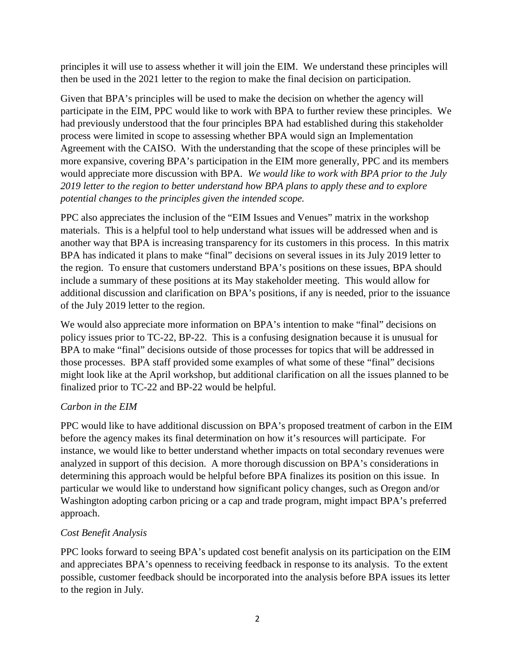principles it will use to assess whether it will join the EIM. We understand these principles will then be used in the 2021 letter to the region to make the final decision on participation.

Given that BPA's principles will be used to make the decision on whether the agency will participate in the EIM, PPC would like to work with BPA to further review these principles. We had previously understood that the four principles BPA had established during this stakeholder process were limited in scope to assessing whether BPA would sign an Implementation Agreement with the CAISO. With the understanding that the scope of these principles will be more expansive, covering BPA's participation in the EIM more generally, PPC and its members would appreciate more discussion with BPA. *We would like to work with BPA prior to the July 2019 letter to the region to better understand how BPA plans to apply these and to explore potential changes to the principles given the intended scope.*

PPC also appreciates the inclusion of the "EIM Issues and Venues" matrix in the workshop materials. This is a helpful tool to help understand what issues will be addressed when and is another way that BPA is increasing transparency for its customers in this process. In this matrix BPA has indicated it plans to make "final" decisions on several issues in its July 2019 letter to the region. To ensure that customers understand BPA's positions on these issues, BPA should include a summary of these positions at its May stakeholder meeting. This would allow for additional discussion and clarification on BPA's positions, if any is needed, prior to the issuance of the July 2019 letter to the region.

We would also appreciate more information on BPA's intention to make "final" decisions on policy issues prior to TC-22, BP-22. This is a confusing designation because it is unusual for BPA to make "final" decisions outside of those processes for topics that will be addressed in those processes. BPA staff provided some examples of what some of these "final" decisions might look like at the April workshop, but additional clarification on all the issues planned to be finalized prior to TC-22 and BP-22 would be helpful.

# *Carbon in the EIM*

PPC would like to have additional discussion on BPA's proposed treatment of carbon in the EIM before the agency makes its final determination on how it's resources will participate. For instance, we would like to better understand whether impacts on total secondary revenues were analyzed in support of this decision. A more thorough discussion on BPA's considerations in determining this approach would be helpful before BPA finalizes its position on this issue. In particular we would like to understand how significant policy changes, such as Oregon and/or Washington adopting carbon pricing or a cap and trade program, might impact BPA's preferred approach.

# *Cost Benefit Analysis*

PPC looks forward to seeing BPA's updated cost benefit analysis on its participation on the EIM and appreciates BPA's openness to receiving feedback in response to its analysis. To the extent possible, customer feedback should be incorporated into the analysis before BPA issues its letter to the region in July.